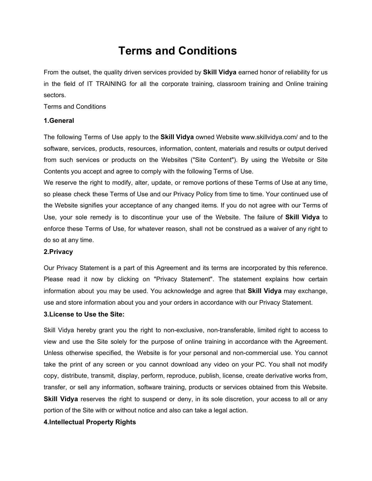# **Terms and Conditions**

From the outset, the quality driven services provided by **Skill Vidya** earned honor of reliability for us in the field of IT TRAINING for all the corporate training, classroom training and Online training sectors.

Terms and Conditions

## **1.General**

The following Terms of Use apply to the **Skill Vidya** owned Website www.skillvidya.com/ and to the software, services, products, resources, information, content, materials and results or output derived from such services or products on the Websites ("Site Content"). By using the Website or Site Contents you accept and agree to comply with the following Terms of Use.

We reserve the right to modify, alter, update, or remove portions of these Terms of Use at any time, so please check these Terms of Use and our Privacy Policy from time to time. Your continued use of the Website signifies your acceptance of any changed items. If you do not agree with our Terms of Use, your sole remedy is to discontinue your use of the Website. The failure of **Skill Vidya** to enforce these Terms of Use, for whatever reason, shall not be construed as a waiver of any right to do so at any time.

### **2.Privacy**

Our Privacy Statement is a part of this Agreement and its terms are incorporated by this reference. Please read it now by clicking on "Privacy Statement". The statement explains how certain information about you may be used. You acknowledge and agree that **Skill Vidya** may exchange, use and store information about you and your orders in accordance with our Privacy Statement.

### **3.License to Use the Site:**

Skill Vidya hereby grant you the right to non-exclusive, non-transferable, limited right to access to view and use the Site solely for the purpose of online training in accordance with the Agreement. Unless otherwise specified, the Website is for your personal and non-commercial use. You cannot take the print of any screen or you cannot download any video on your PC. You shall not modify copy, distribute, transmit, display, perform, reproduce, publish, license, create derivative works from, transfer, or sell any information, software training, products or services obtained from this Website. **Skill Vidya** reserves the right to suspend or deny, in its sole discretion, your access to all or any portion of the Site with or without notice and also can take a legal action.

# **4.Intellectual Property Rights**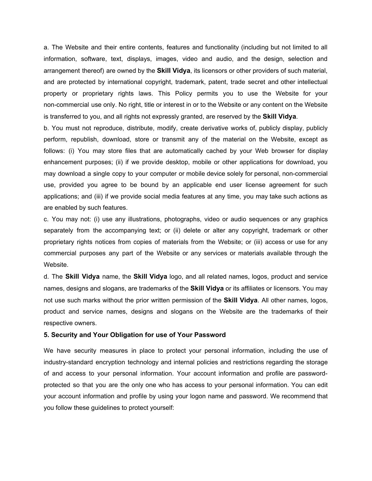a. The Website and their entire contents, features and functionality (including but not limited to all information, software, text, displays, images, video and audio, and the design, selection and arrangement thereof) are owned by the **Skill Vidya**, its licensors or other providers of such material, and are protected by international copyright, trademark, patent, trade secret and other intellectual property or proprietary rights laws. This Policy permits you to use the Website for your non-commercial use only. No right, title or interest in or to the Website or any content on the Website is transferred to you, and all rights not expressly granted, are reserved by the **Skill Vidya**.

b. You must not reproduce, distribute, modify, create derivative works of, publicly display, publicly perform, republish, download, store or transmit any of the material on the Website, except as follows: (i) You may store files that are automatically cached by your Web browser for display enhancement purposes; (ii) if we provide desktop, mobile or other applications for download, you may download a single copy to your computer or mobile device solely for personal, non-commercial use, provided you agree to be bound by an applicable end user license agreement for such applications; and (iii) if we provide social media features at any time, you may take such actions as are enabled by such features.

c. You may not: (i) use any illustrations, photographs, video or audio sequences or any graphics separately from the accompanying text; or (ii) delete or alter any copyright, trademark or other proprietary rights notices from copies of materials from the Website; or (iii) access or use for any commercial purposes any part of the Website or any services or materials available through the Website.

d. The **Skill Vidya** name, the **Skill Vidya** logo, and all related names, logos, product and service names, designs and slogans, are trademarks of the **Skill Vidya** or its affiliates or licensors. You may not use such marks without the prior written permission of the **Skill Vidya**. All other names, logos, product and service names, designs and slogans on the Website are the trademarks of their respective owners.

#### **5. Security and Your Obligation for use of Your Password**

We have security measures in place to protect your personal information, including the use of industry-standard encryption technology and internal policies and restrictions regarding the storage of and access to your personal information. Your account information and profile are passwordprotected so that you are the only one who has access to your personal information. You can edit your account information and profile by using your logon name and password. We recommend that you follow these guidelines to protect yourself: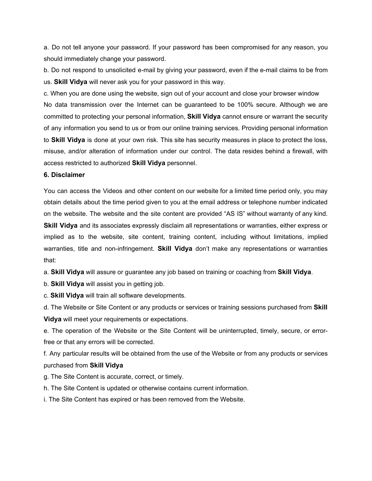a. Do not tell anyone your password. If your password has been compromised for any reason, you should immediately change your password.

b. Do not respond to unsolicited e-mail by giving your password, even if the e-mail claims to be from us. **Skill Vidya** will never ask you for your password in this way.

c. When you are done using the website, sign out of your account and close your browser window No data transmission over the Internet can be guaranteed to be 100% secure. Although we are committed to protecting your personal information, **Skill Vidya** cannot ensure or warrant the security of any information you send to us or from our online training services. Providing personal information to **Skill Vidya** is done at your own risk. This site has security measures in place to protect the loss, misuse, and/or alteration of information under our control. The data resides behind a firewall, with access restricted to authorized **Skill Vidya** personnel.

#### **6. Disclaimer**

You can access the Videos and other content on our website for a limited time period only, you may obtain details about the time period given to you at the email address or telephone number indicated on the website. The website and the site content are provided "AS IS" without warranty of any kind. **Skill Vidya** and its associates expressly disclaim all representations or warranties, either express or implied as to the website, site content, training content, including without limitations, implied warranties, title and non-infringement. **Skill Vidya** don't make any representations or warranties that:

a. **Skill Vidya** will assure or guarantee any job based on training or coaching from **Skill Vidya**.

b. **Skill Vidya** will assist you in getting job.

c. **Skill Vidya** will train all software developments.

d. The Website or Site Content or any products or services or training sessions purchased from **Skill Vidya** will meet your requirements or expectations.

e. The operation of the Website or the Site Content will be uninterrupted, timely, secure, or errorfree or that any errors will be corrected.

f. Any particular results will be obtained from the use of the Website or from any products or services purchased from **Skill Vidya**

g. The Site Content is accurate, correct, or timely.

h. The Site Content is updated or otherwise contains current information.

i. The Site Content has expired or has been removed from the Website.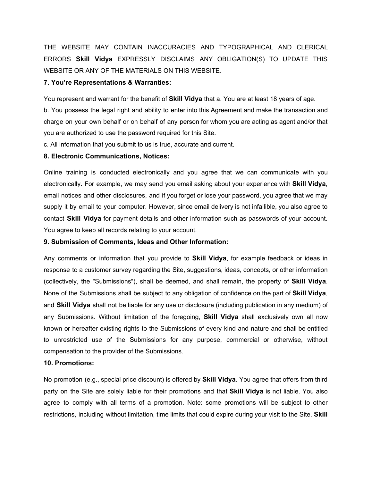THE WEBSITE MAY CONTAIN INACCURACIES AND TYPOGRAPHICAL AND CLERICAL ERRORS **Skill Vidya** EXPRESSLY DISCLAIMS ANY OBLIGATION(S) TO UPDATE THIS WEBSITE OR ANY OF THE MATERIALS ON THIS WEBSITE.

#### **7. You're Representations & Warranties:**

You represent and warrant for the benefit of **Skill Vidya** that a. You are at least 18 years of age.

b. You possess the legal right and ability to enter into this Agreement and make the transaction and charge on your own behalf or on behalf of any person for whom you are acting as agent and/or that you are authorized to use the password required for this Site.

c. All information that you submit to us is true, accurate and current.

#### **8. Electronic Communications, Notices:**

Online training is conducted electronically and you agree that we can communicate with you electronically. For example, we may send you email asking about your experience with **Skill Vidya**, email notices and other disclosures, and if you forget or lose your password, you agree that we may supply it by email to your computer. However, since email delivery is not infallible, you also agree to contact **Skill Vidya** for payment details and other information such as passwords of your account. You agree to keep all records relating to your account.

#### **9. Submission of Comments, Ideas and Other Information:**

Any comments or information that you provide to **Skill Vidya**, for example feedback or ideas in response to a customer survey regarding the Site, suggestions, ideas, concepts, or other information (collectively, the "Submissions"), shall be deemed, and shall remain, the property of **Skill Vidya**. None of the Submissions shall be subject to any obligation of confidence on the part of **Skill Vidya**, and **Skill Vidya** shall not be liable for any use or disclosure (including publication in any medium) of any Submissions. Without limitation of the foregoing, **Skill Vidya** shall exclusively own all now known or hereafter existing rights to the Submissions of every kind and nature and shall be entitled to unrestricted use of the Submissions for any purpose, commercial or otherwise, without compensation to the provider of the Submissions.

#### **10. Promotions:**

No promotion (e.g., special price discount) is offered by **Skill Vidya**. You agree that offers from third party on the Site are solely liable for their promotions and that **Skill Vidya** is not liable. You also agree to comply with all terms of a promotion. Note: some promotions will be subject to other restrictions, including without limitation, time limits that could expire during your visit to the Site. **Skill**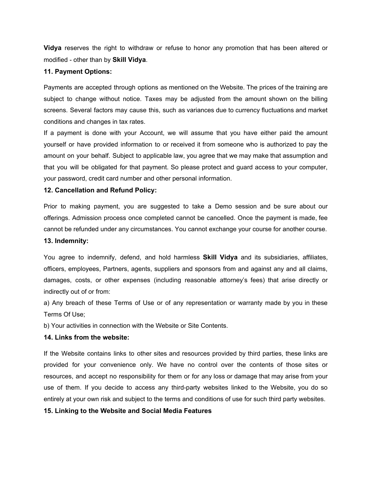**Vidya** reserves the right to withdraw or refuse to honor any promotion that has been altered or modified - other than by **Skill Vidya**.

# **11. Payment Options:**

Payments are accepted through options as mentioned on the Website. The prices of the training are subject to change without notice. Taxes may be adjusted from the amount shown on the billing screens. Several factors may cause this, such as variances due to currency fluctuations and market conditions and changes in tax rates.

If a payment is done with your Account, we will assume that you have either paid the amount yourself or have provided information to or received it from someone who is authorized to pay the amount on your behalf. Subject to applicable law, you agree that we may make that assumption and that you will be obligated for that payment. So please protect and guard access to your computer, your password, credit card number and other personal information.

## **12. Cancellation and Refund Policy:**

Prior to making payment, you are suggested to take a Demo session and be sure about our offerings. Admission process once completed cannot be cancelled. Once the payment is made, fee cannot be refunded under any circumstances. You cannot exchange your course for another course.

# **13. Indemnity:**

You agree to indemnify, defend, and hold harmless **Skill Vidya** and its subsidiaries, affiliates, officers, employees, Partners, agents, suppliers and sponsors from and against any and all claims, damages, costs, or other expenses (including reasonable attorney's fees) that arise directly or indirectly out of or from:

a) Any breach of these Terms of Use or of any representation or warranty made by you in these Terms Of Use;

b) Your activities in connection with the Website or Site Contents.

# **14. Links from the website:**

If the Website contains links to other sites and resources provided by third parties, these links are provided for your convenience only. We have no control over the contents of those sites or resources, and accept no responsibility for them or for any loss or damage that may arise from your use of them. If you decide to access any third-party websites linked to the Website, you do so entirely at your own risk and subject to the terms and conditions of use for such third party websites.

#### **15. Linking to the Website and Social Media Features**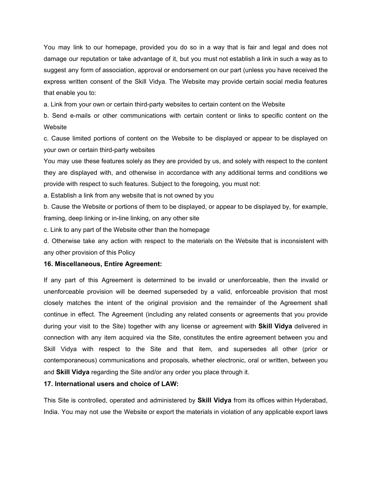You may link to our homepage, provided you do so in a way that is fair and legal and does not damage our reputation or take advantage of it, but you must not establish a link in such a way as to suggest any form of association, approval or endorsement on our part (unless you have received the express written consent of the Skill Vidya. The Website may provide certain social media features that enable you to:

a. Link from your own or certain third-party websites to certain content on the Website

b. Send e-mails or other communications with certain content or links to specific content on the **Website** 

c. Cause limited portions of content on the Website to be displayed or appear to be displayed on your own or certain third-party websites

You may use these features solely as they are provided by us, and solely with respect to the content they are displayed with, and otherwise in accordance with any additional terms and conditions we provide with respect to such features. Subject to the foregoing, you must not:

a. Establish a link from any website that is not owned by you

b. Cause the Website or portions of them to be displayed, or appear to be displayed by, for example, framing, deep linking or in-line linking, on any other site

c. Link to any part of the Website other than the homepage

d. Otherwise take any action with respect to the materials on the Website that is inconsistent with any other provision of this Policy

## **16. Miscellaneous, Entire Agreement:**

If any part of this Agreement is determined to be invalid or unenforceable, then the invalid or unenforceable provision will be deemed superseded by a valid, enforceable provision that most closely matches the intent of the original provision and the remainder of the Agreement shall continue in effect. The Agreement (including any related consents or agreements that you provide during your visit to the Site) together with any license or agreement with **Skill Vidya** delivered in connection with any item acquired via the Site, constitutes the entire agreement between you and Skill Vidya with respect to the Site and that item, and supersedes all other (prior or contemporaneous) communications and proposals, whether electronic, oral or written, between you and **Skill Vidya** regarding the Site and/or any order you place through it.

# **17. International users and choice of LAW:**

This Site is controlled, operated and administered by **Skill Vidya** from its offices within Hyderabad, India. You may not use the Website or export the materials in violation of any applicable export laws